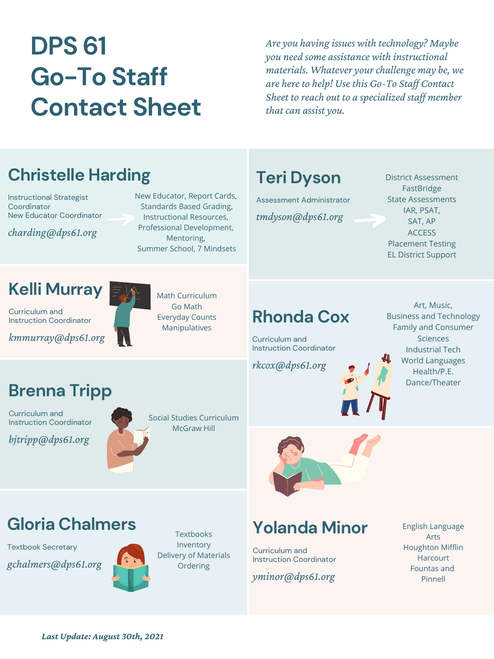*Last Update: August 30th, 2021*

#### **Christelle Harding**

Instructional Strategist **Coordinator** New Educator Coordinator

*charding@dps61.org*

*Are you having issues with technology? Maybe you need some assistance with instructional materials. Whatever your challenge may be, we are hereto help! Usethis Go-To Staf Contact Sheet to reach out to a specialized staf member that can assist you.*

# **DPS 61 Go-To Staff Contact Sheet**

New Educator, Report Cards, Standards Based Grading, Instructional Resources, Professional Development, Mentoring, Summer School, 7 Mindsets

#### **Teri Dyson**

Assessment Administrator *tmdyson@dps61.org*

District Assessment **FastBridge** State Assessments IAR, PSAT, SAT, AP **ACCESS** Placement Testing EL District Support

**Textbooks** Inventory Delivery of Materials Ordering

# **Kelli Murray**

Curriculum and Instruction Coordinator

*kmmurray@dps61.org*

Math Curriculum Go Math Everyday Counts Manipulatives

**Rhonda Cox**

Curriculum and

Instruction Coordinator

*rkcox@dps61.org*



Art, Music, Business and Technology Family and Consumer Sciences

Industrial Tech World Languages Health/P.E. Dance/Theater

# **Brenna Tripp**

Curriculum and Instruction Coordinator

*bjtripp@dps61.org*





# **Yolanda Minor**

Curriculum and Instruction Coordinator

*yminor@dps61.org*

# **Gloria Chalmers**

Textbook Secretary

*gchalmers@dps61.org*



English Language Arts Houghton Mifflin Harcourt Fountas and Pinnell